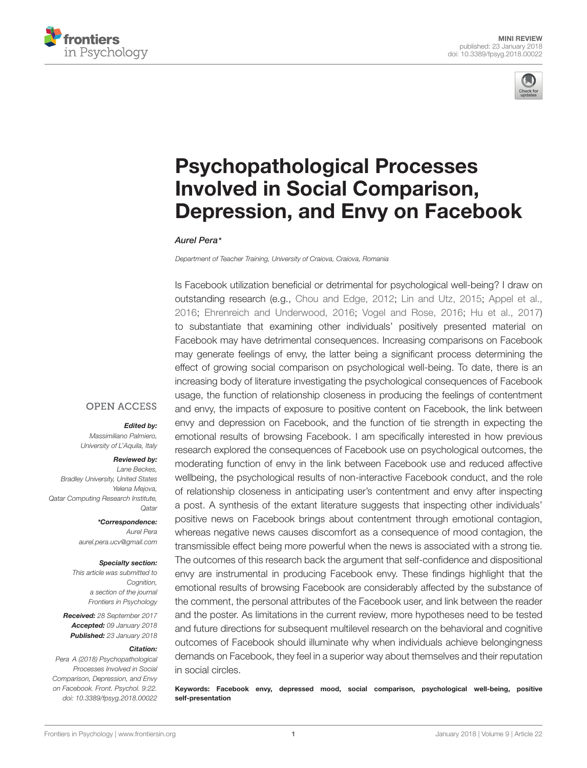



# Psychopathological Processes Involved in Social Comparison, [Depression, and Envy on Facebook](https://www.frontiersin.org/articles/10.3389/fpsyg.2018.00022/full)

#### [Aurel Pera](http://loop.frontiersin.org/people/460313/overview)\*

Department of Teacher Training, University of Craiova, Craiova, Romania

Is Facebook utilization beneficial or detrimental for psychological well-being? I draw on outstanding research (e.g., [Chou and Edge,](#page-4-0) [2012;](#page-4-0) [Lin and Utz,](#page-4-1) [2015;](#page-4-1) [Appel et al.,](#page-4-2) [2016;](#page-4-2) [Ehrenreich and Underwood,](#page-4-3) [2016;](#page-4-3) [Vogel and Rose,](#page-4-4) [2016;](#page-4-4) [Hu et al.,](#page-4-5) [2017\)](#page-4-5) to substantiate that examining other individuals' positively presented material on Facebook may have detrimental consequences. Increasing comparisons on Facebook may generate feelings of envy, the latter being a significant process determining the effect of growing social comparison on psychological well-being. To date, there is an increasing body of literature investigating the psychological consequences of Facebook usage, the function of relationship closeness in producing the feelings of contentment and envy, the impacts of exposure to positive content on Facebook, the link between envy and depression on Facebook, and the function of tie strength in expecting the emotional results of browsing Facebook. I am specifically interested in how previous research explored the consequences of Facebook use on psychological outcomes, the moderating function of envy in the link between Facebook use and reduced affective wellbeing, the psychological results of non-interactive Facebook conduct, and the role of relationship closeness in anticipating user's contentment and envy after inspecting a post. A synthesis of the extant literature suggests that inspecting other individuals' positive news on Facebook brings about contentment through emotional contagion, whereas negative news causes discomfort as a consequence of mood contagion, the transmissible effect being more powerful when the news is associated with a strong tie. The outcomes of this research back the argument that self-confidence and dispositional envy are instrumental in producing Facebook envy. These findings highlight that the emotional results of browsing Facebook are considerably affected by the substance of the comment, the personal attributes of the Facebook user, and link between the reader and the poster. As limitations in the current review, more hypotheses need to be tested and future directions for subsequent multilevel research on the behavioral and cognitive outcomes of Facebook should illuminate why when individuals achieve belongingness demands on Facebook, they feel in a superior way about themselves and their reputation in social circles.

Keywords: Facebook envy, depressed mood, social comparison, psychological well-being, positive self-presentation

### **OPEN ACCESS**

#### Edited by:

Massimiliano Palmiero, University of L'Aquila, Italy

#### Reviewed by:

Lane Beckes Bradley University, United States Yelena Mejova, Qatar Computing Research Institute, **Qatar** 

> \*Correspondence: Aurel Pera aurel.pera.ucv@gmail.com

#### Specialty section:

This article was submitted to Cognition, a section of the journal Frontiers in Psychology

Received: 28 September 2017 Accepted: 09 January 2018 Published: 23 January 2018

#### Citation:

Pera A (2018) Psychopathological Processes Involved in Social Comparison, Depression, and Envy on Facebook. Front. Psychol. 9:22. doi: [10.3389/fpsyg.2018.00022](https://doi.org/10.3389/fpsyg.2018.00022)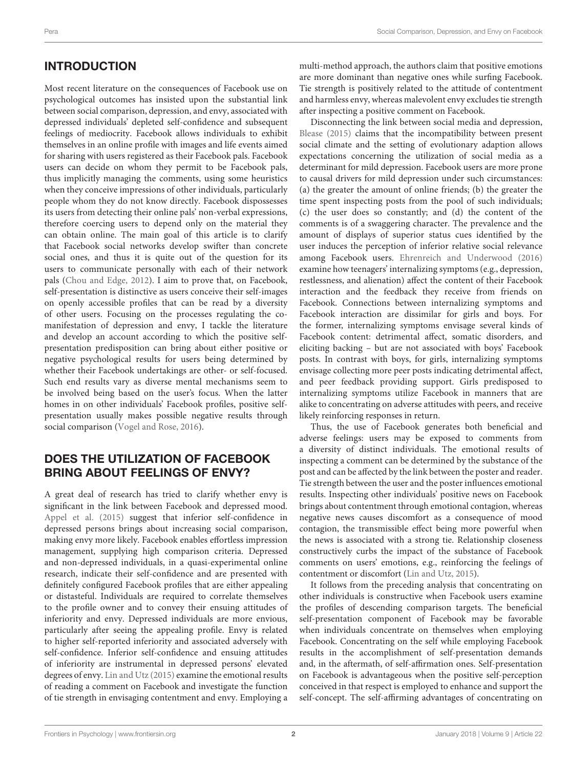### INTRODUCTION

Most recent literature on the consequences of Facebook use on psychological outcomes has insisted upon the substantial link between social comparison, depression, and envy, associated with depressed individuals' depleted self-confidence and subsequent feelings of mediocrity. Facebook allows individuals to exhibit themselves in an online profile with images and life events aimed for sharing with users registered as their Facebook pals. Facebook users can decide on whom they permit to be Facebook pals, thus implicitly managing the comments, using some heuristics when they conceive impressions of other individuals, particularly people whom they do not know directly. Facebook dispossesses its users from detecting their online pals' non-verbal expressions, therefore coercing users to depend only on the material they can obtain online. The main goal of this article is to clarify that Facebook social networks develop swifter than concrete social ones, and thus it is quite out of the question for its users to communicate personally with each of their network pals [\(Chou and Edge,](#page-4-0) [2012\)](#page-4-0). I aim to prove that, on Facebook, self-presentation is distinctive as users conceive their self-images on openly accessible profiles that can be read by a diversity of other users. Focusing on the processes regulating the comanifestation of depression and envy, I tackle the literature and develop an account according to which the positive selfpresentation predisposition can bring about either positive or negative psychological results for users being determined by whether their Facebook undertakings are other- or self-focused. Such end results vary as diverse mental mechanisms seem to be involved being based on the user's focus. When the latter homes in on other individuals' Facebook profiles, positive selfpresentation usually makes possible negative results through social comparison [\(Vogel and Rose,](#page-4-4) [2016\)](#page-4-4).

### DOES THE UTILIZATION OF FACEBOOK BRING ABOUT FEELINGS OF ENVY?

A great deal of research has tried to clarify whether envy is significant in the link between Facebook and depressed mood. [Appel et al.](#page-4-6) [\(2015\)](#page-4-6) suggest that inferior self-confidence in depressed persons brings about increasing social comparison, making envy more likely. Facebook enables effortless impression management, supplying high comparison criteria. Depressed and non-depressed individuals, in a quasi-experimental online research, indicate their self-confidence and are presented with definitely configured Facebook profiles that are either appealing or distasteful. Individuals are required to correlate themselves to the profile owner and to convey their ensuing attitudes of inferiority and envy. Depressed individuals are more envious, particularly after seeing the appealing profile. Envy is related to higher self-reported inferiority and associated adversely with self-confidence. Inferior self-confidence and ensuing attitudes of inferiority are instrumental in depressed persons' elevated degrees of envy. [Lin and Utz](#page-4-1) [\(2015\)](#page-4-1) examine the emotional results of reading a comment on Facebook and investigate the function of tie strength in envisaging contentment and envy. Employing a

multi-method approach, the authors claim that positive emotions are more dominant than negative ones while surfing Facebook. Tie strength is positively related to the attitude of contentment and harmless envy, whereas malevolent envy excludes tie strength after inspecting a positive comment on Facebook.

Disconnecting the link between social media and depression, [Blease](#page-4-7) [\(2015\)](#page-4-7) claims that the incompatibility between present social climate and the setting of evolutionary adaption allows expectations concerning the utilization of social media as a determinant for mild depression. Facebook users are more prone to causal drivers for mild depression under such circumstances: (a) the greater the amount of online friends; (b) the greater the time spent inspecting posts from the pool of such individuals; (c) the user does so constantly; and (d) the content of the comments is of a swaggering character. The prevalence and the amount of displays of superior status cues identified by the user induces the perception of inferior relative social relevance among Facebook users. [Ehrenreich and Underwood](#page-4-3) [\(2016\)](#page-4-3) examine how teenagers' internalizing symptoms (e.g., depression, restlessness, and alienation) affect the content of their Facebook interaction and the feedback they receive from friends on Facebook. Connections between internalizing symptoms and Facebook interaction are dissimilar for girls and boys. For the former, internalizing symptoms envisage several kinds of Facebook content: detrimental affect, somatic disorders, and eliciting backing – but are not associated with boys' Facebook posts. In contrast with boys, for girls, internalizing symptoms envisage collecting more peer posts indicating detrimental affect, and peer feedback providing support. Girls predisposed to internalizing symptoms utilize Facebook in manners that are alike to concentrating on adverse attitudes with peers, and receive likely reinforcing responses in return.

Thus, the use of Facebook generates both beneficial and adverse feelings: users may be exposed to comments from a diversity of distinct individuals. The emotional results of inspecting a comment can be determined by the substance of the post and can be affected by the link between the poster and reader. Tie strength between the user and the poster influences emotional results. Inspecting other individuals' positive news on Facebook brings about contentment through emotional contagion, whereas negative news causes discomfort as a consequence of mood contagion, the transmissible effect being more powerful when the news is associated with a strong tie. Relationship closeness constructively curbs the impact of the substance of Facebook comments on users' emotions, e.g., reinforcing the feelings of contentment or discomfort [\(Lin and Utz,](#page-4-1) [2015\)](#page-4-1).

It follows from the preceding analysis that concentrating on other individuals is constructive when Facebook users examine the profiles of descending comparison targets. The beneficial self-presentation component of Facebook may be favorable when individuals concentrate on themselves when employing Facebook. Concentrating on the self while employing Facebook results in the accomplishment of self-presentation demands and, in the aftermath, of self-affirmation ones. Self-presentation on Facebook is advantageous when the positive self-perception conceived in that respect is employed to enhance and support the self-concept. The self-affirming advantages of concentrating on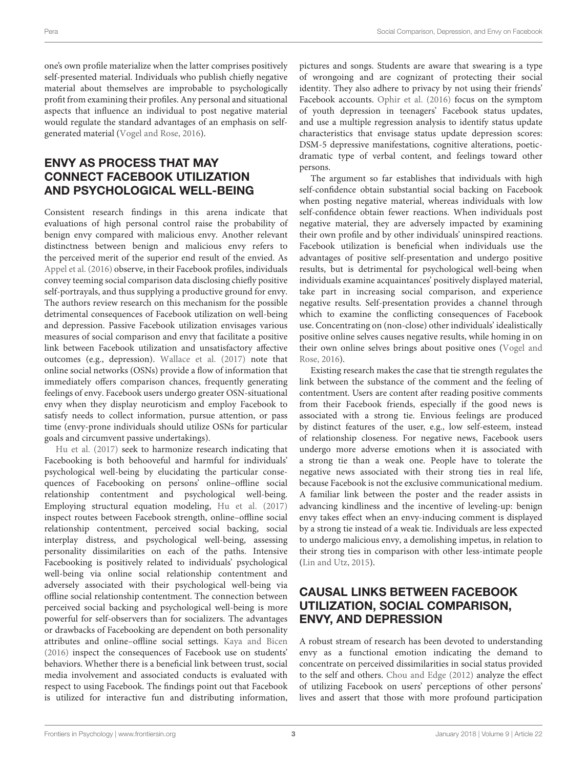one's own profile materialize when the latter comprises positively self-presented material. Individuals who publish chiefly negative material about themselves are improbable to psychologically profit from examining their profiles. Any personal and situational aspects that influence an individual to post negative material would regulate the standard advantages of an emphasis on selfgenerated material [\(Vogel and Rose,](#page-4-4) [2016\)](#page-4-4).

# ENVY AS PROCESS THAT MAY CONNECT FACEBOOK UTILIZATION AND PSYCHOLOGICAL WELL-BEING

Consistent research findings in this arena indicate that evaluations of high personal control raise the probability of benign envy compared with malicious envy. Another relevant distinctness between benign and malicious envy refers to the perceived merit of the superior end result of the envied. As [Appel et al.](#page-4-2) [\(2016\)](#page-4-2) observe, in their Facebook profiles, individuals convey teeming social comparison data disclosing chiefly positive self-portrayals, and thus supplying a productive ground for envy. The authors review research on this mechanism for the possible detrimental consequences of Facebook utilization on well-being and depression. Passive Facebook utilization envisages various measures of social comparison and envy that facilitate a positive link between Facebook utilization and unsatisfactory affective outcomes (e.g., depression). [Wallace et al.](#page-4-8) [\(2017\)](#page-4-8) note that online social networks (OSNs) provide a flow of information that immediately offers comparison chances, frequently generating feelings of envy. Facebook users undergo greater OSN-situational envy when they display neuroticism and employ Facebook to satisfy needs to collect information, pursue attention, or pass time (envy-prone individuals should utilize OSNs for particular goals and circumvent passive undertakings).

[Hu et al.](#page-4-5) [\(2017\)](#page-4-5) seek to harmonize research indicating that Facebooking is both behooveful and harmful for individuals' psychological well-being by elucidating the particular consequences of Facebooking on persons' online–offline social relationship contentment and psychological well-being. Employing structural equation modeling, [Hu et al.](#page-4-5) [\(2017\)](#page-4-5) inspect routes between Facebook strength, online–offline social relationship contentment, perceived social backing, social interplay distress, and psychological well-being, assessing personality dissimilarities on each of the paths. Intensive Facebooking is positively related to individuals' psychological well-being via online social relationship contentment and adversely associated with their psychological well-being via offline social relationship contentment. The connection between perceived social backing and psychological well-being is more powerful for self-observers than for socializers. The advantages or drawbacks of Facebooking are dependent on both personality attributes and online–offline social settings. [Kaya and Bicen](#page-4-9) [\(2016\)](#page-4-9) inspect the consequences of Facebook use on students' behaviors. Whether there is a beneficial link between trust, social media involvement and associated conducts is evaluated with respect to using Facebook. The findings point out that Facebook is utilized for interactive fun and distributing information,

pictures and songs. Students are aware that swearing is a type of wrongoing and are cognizant of protecting their social identity. They also adhere to privacy by not using their friends' Facebook accounts. [Ophir et al.](#page-4-10) [\(2016\)](#page-4-10) focus on the symptom of youth depression in teenagers' Facebook status updates, and use a multiple regression analysis to identify status update characteristics that envisage status update depression scores: DSM-5 depressive manifestations, cognitive alterations, poeticdramatic type of verbal content, and feelings toward other persons.

The argument so far establishes that individuals with high self-confidence obtain substantial social backing on Facebook when posting negative material, whereas individuals with low self-confidence obtain fewer reactions. When individuals post negative material, they are adversely impacted by examining their own profile and by other individuals' uninspired reactions. Facebook utilization is beneficial when individuals use the advantages of positive self-presentation and undergo positive results, but is detrimental for psychological well-being when individuals examine acquaintances' positively displayed material, take part in increasing social comparison, and experience negative results. Self-presentation provides a channel through which to examine the conflicting consequences of Facebook use. Concentrating on (non-close) other individuals' idealistically positive online selves causes negative results, while homing in on their own online selves brings about positive ones [\(Vogel and](#page-4-4) [Rose,](#page-4-4) [2016\)](#page-4-4).

Existing research makes the case that tie strength regulates the link between the substance of the comment and the feeling of contentment. Users are content after reading positive comments from their Facebook friends, especially if the good news is associated with a strong tie. Envious feelings are produced by distinct features of the user, e.g., low self-esteem, instead of relationship closeness. For negative news, Facebook users undergo more adverse emotions when it is associated with a strong tie than a weak one. People have to tolerate the negative news associated with their strong ties in real life, because Facebook is not the exclusive communicational medium. A familiar link between the poster and the reader assists in advancing kindliness and the incentive of leveling-up: benign envy takes effect when an envy-inducing comment is displayed by a strong tie instead of a weak tie. Individuals are less expected to undergo malicious envy, a demolishing impetus, in relation to their strong ties in comparison with other less-intimate people [\(Lin and Utz,](#page-4-1) [2015\)](#page-4-1).

## CAUSAL LINKS BETWEEN FACEBOOK UTILIZATION, SOCIAL COMPARISON, ENVY, AND DEPRESSION

A robust stream of research has been devoted to understanding envy as a functional emotion indicating the demand to concentrate on perceived dissimilarities in social status provided to the self and others. [Chou and Edge](#page-4-0) [\(2012\)](#page-4-0) analyze the effect of utilizing Facebook on users' perceptions of other persons' lives and assert that those with more profound participation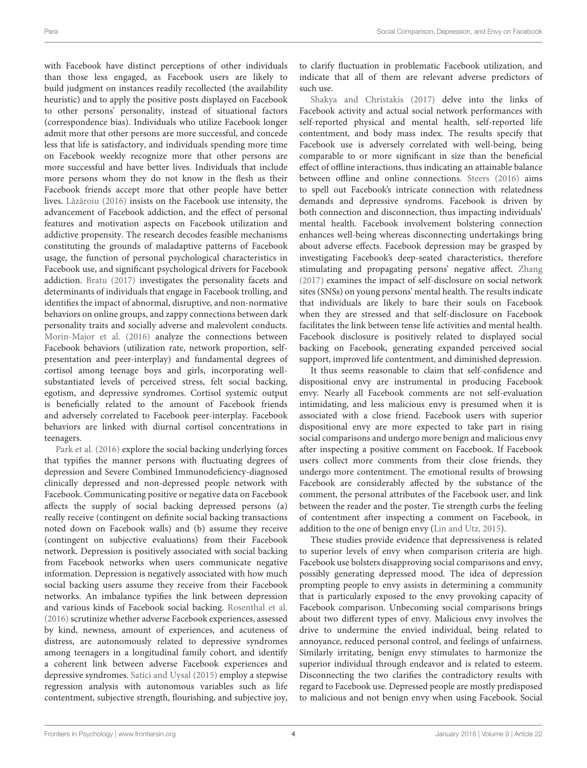with Facebook have distinct perceptions of other individuals than those less engaged, as Facebook users are likely to build judgment on instances readily recollected (the availability heuristic) and to apply the positive posts displayed on Facebook to other persons' personality, instead of situational factors (correspondence bias). Individuals who utilize Facebook longer admit more that other persons are more successful, and concede less that life is satisfactory, and individuals spending more time on Facebook weekly recognize more that other persons are more successful and have better lives. Individuals that include more persons whom they do not know in the flesh as their Facebook friends accept more that other people have better lives. [Lãzãroiu](#page-4-11) [\(2016\)](#page-4-11) insists on the Facebook use intensity, the advancement of Facebook addiction, and the effect of personal features and motivation aspects on Facebook utilization and addictive propensity. The research decodes feasible mechanisms constituting the grounds of maladaptive patterns of Facebook usage, the function of personal psychological characteristics in Facebook use, and significant psychological drivers for Facebook addiction. [Bratu](#page-4-12) [\(2017\)](#page-4-12) investigates the personality facets and determinants of individuals that engage in Facebook trolling, and identifies the impact of abnormal, disruptive, and non-normative behaviors on online groups, and zappy connections between dark personality traits and socially adverse and malevolent conducts. [Morin-Major et al.](#page-4-13) [\(2016\)](#page-4-13) analyze the connections between Facebook behaviors (utilization rate, network proportion, selfpresentation and peer-interplay) and fundamental degrees of cortisol among teenage boys and girls, incorporating wellsubstantiated levels of perceived stress, felt social backing, egotism, and depressive syndromes. Cortisol systemic output is beneficially related to the amount of Facebook friends and adversely correlated to Facebook peer-interplay. Facebook behaviors are linked with diurnal cortisol concentrations in teenagers.

[Park et al.](#page-4-14) [\(2016\)](#page-4-14) explore the social backing underlying forces that typifies the manner persons with fluctuating degrees of depression and Severe Combined Immunodeficiency-diagnosed clinically depressed and non-depressed people network with Facebook. Communicating positive or negative data on Facebook affects the supply of social backing depressed persons (a) really receive (contingent on definite social backing transactions noted down on Facebook walls) and (b) assume they receive (contingent on subjective evaluations) from their Facebook network. Depression is positively associated with social backing from Facebook networks when users communicate negative information. Depression is negatively associated with how much social backing users assume they receive from their Facebook networks. An imbalance typifies the link between depression and various kinds of Facebook social backing. [Rosenthal et al.](#page-4-15) [\(2016\)](#page-4-15) scrutinize whether adverse Facebook experiences, assessed by kind, newness, amount of experiences, and acuteness of distress, are autonomously related to depressive syndromes among teenagers in a longitudinal family cohort, and identify a coherent link between adverse Facebook experiences and depressive syndromes. [Satici and Uysal](#page-4-16) [\(2015\)](#page-4-16) employ a stepwise regression analysis with autonomous variables such as life contentment, subjective strength, flourishing, and subjective joy,

to clarify fluctuation in problematic Facebook utilization, and indicate that all of them are relevant adverse predictors of such use.

[Shakya and Christakis](#page-4-17) [\(2017\)](#page-4-17) delve into the links of Facebook activity and actual social network performances with self-reported physical and mental health, self-reported life contentment, and body mass index. The results specify that Facebook use is adversely correlated with well-being, being comparable to or more significant in size than the beneficial effect of offline interactions, thus indicating an attainable balance between offline and online connections. [Steers](#page-4-18) [\(2016\)](#page-4-18) aims to spell out Facebook's intricate connection with relatedness demands and depressive syndroms. Facebook is driven by both connection and disconnection, thus impacting individuals' mental health. Facebook involvement bolstering connection enhances well-being whereas disconnecting undertakings bring about adverse effects. Facebook depression may be grasped by investigating Facebook's deep-seated characteristics, therefore stimulating and propagating persons' negative affect. [Zhang](#page-4-19) [\(2017\)](#page-4-19) examines the impact of self-disclosure on social network sites (SNSs) on young persons' mental health. The results indicate that individuals are likely to bare their souls on Facebook when they are stressed and that self-disclosure on Facebook facilitates the link between tense life activities and mental health. Facebook disclosure is positively related to displayed social backing on Facebook, generating expanded perceived social support, improved life contentment, and diminished depression.

It thus seems reasonable to claim that self-confidence and dispositional envy are instrumental in producing Facebook envy. Nearly all Facebook comments are not self-evaluation intimidating, and less malicious envy is presumed when it is associated with a close friend. Facebook users with superior dispositional envy are more expected to take part in rising social comparisons and undergo more benign and malicious envy after inspecting a positive comment on Facebook. If Facebook users collect more comments from their close friends, they undergo more contentment. The emotional results of browsing Facebook are considerably affected by the substance of the comment, the personal attributes of the Facebook user, and link between the reader and the poster. Tie strength curbs the feeling of contentment after inspecting a comment on Facebook, in addition to the one of benign envy [\(Lin and Utz,](#page-4-1) [2015\)](#page-4-1).

These studies provide evidence that depressiveness is related to superior levels of envy when comparison criteria are high. Facebook use bolsters disapproving social comparisons and envy, possibly generating depressed mood. The idea of depression prompting people to envy assists in determining a community that is particularly exposed to the envy provoking capacity of Facebook comparison. Unbecoming social comparisons brings about two different types of envy. Malicious envy involves the drive to undermine the envied individual, being related to annoyance, reduced personal control, and feelings of unfairness. Similarly irritating, benign envy stimulates to harmonize the superior individual through endeavor and is related to esteem. Disconnecting the two clarifies the contradictory results with regard to Facebook use. Depressed people are mostly predisposed to malicious and not benign envy when using Facebook. Social